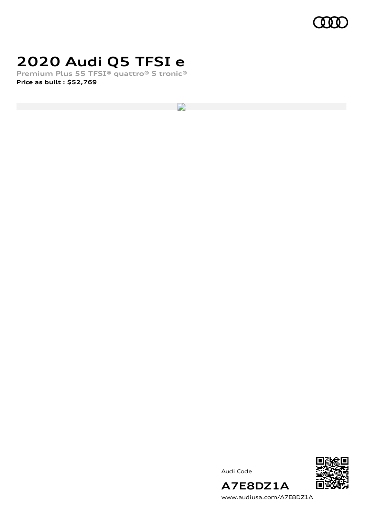

### **2020 Audi Q5 TFSI e**

**Premium Plus 55 TFSI® quattro® S tronic® Price as built [:](#page-8-0) \$52,769**

D

Audi Code



**A7E8DZ1A** [www.audiusa.com/A7E8DZ1A](https://www.audiusa.com/A7E8DZ1A)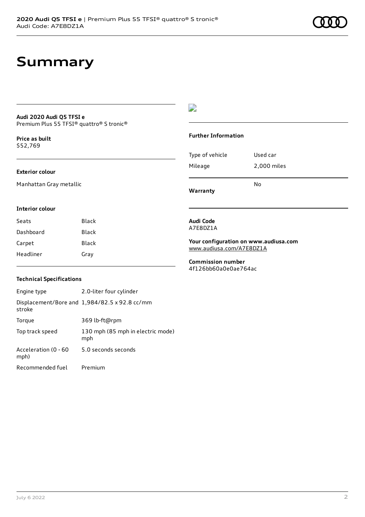### **Summary**

#### **Audi 2020 Audi Q5 TFSI e** Premium Plus 55 TFSI® quattro® S tronic®

**Price as buil[t](#page-8-0)** \$52,769

#### **Exterior colour**

Manhattan Gray metallic

### $\overline{\phantom{a}}$

#### **Further Information**

|                 | N٥          |
|-----------------|-------------|
| Mileage         | 2,000 miles |
| Type of vehicle | Used car    |

**Warranty**

#### **Interior colour**

| Seats     | Black |
|-----------|-------|
| Dashboard | Black |
| Carpet    | Black |
| Headliner | Gray  |

#### **Audi Code** A7E8DZ1A

**Your configuration on www.audiusa.com**

[www.audiusa.com/A7E8DZ1A](https://www.audiusa.com/A7E8DZ1A)

**Commission number** 4f126bb60a0e0ae764ac

### **Technical Specifications**

| Engine type                  | 2.0-liter four cylinder                       |
|------------------------------|-----------------------------------------------|
| stroke                       | Displacement/Bore and 1,984/82.5 x 92.8 cc/mm |
| Torque                       | 369 lb-ft@rpm                                 |
| Top track speed              | 130 mph (85 mph in electric mode)<br>mph      |
| Acceleration (0 - 60<br>mph) | 5.0 seconds seconds                           |
| Recommended fuel             | Premium                                       |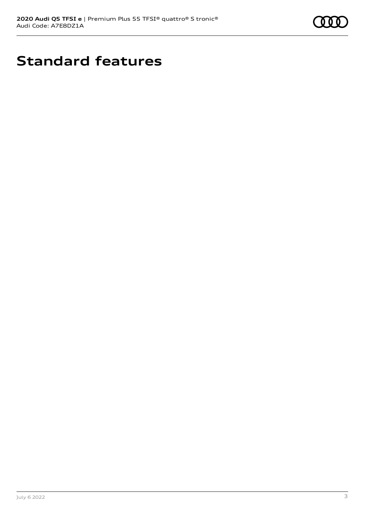

### **Standard features**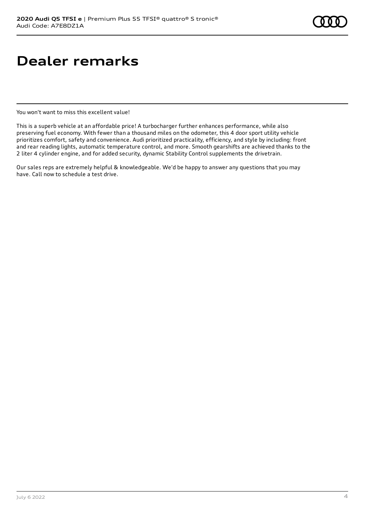### **Dealer remarks**

You won't want to miss this excellent value!

This is a superb vehicle at an affordable price! A turbocharger further enhances performance, while also preserving fuel economy. With fewer than a thousand miles on the odometer, this 4 door sport utility vehicle prioritizes comfort, safety and convenience. Audi prioritized practicality, efficiency, and style by including: front and rear reading lights, automatic temperature control, and more. Smooth gearshifts are achieved thanks to the 2 liter 4 cylinder engine, and for added security, dynamic Stability Control supplements the drivetrain.

Our sales reps are extremely helpful & knowledgeable. We'd be happy to answer any questions that you may have. Call now to schedule a test drive.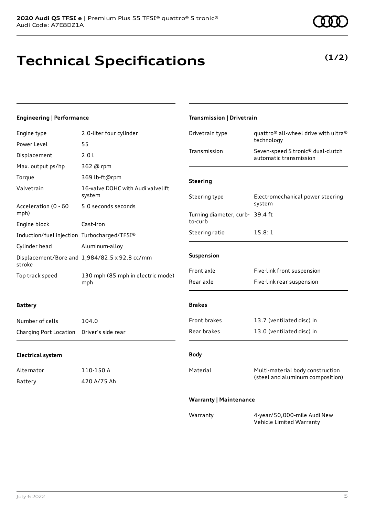**Technical Specifications**

### Engine type 2.0-liter four cylinder

**Engineering | Performance**

| Power Level                                 | 55                                            |             |
|---------------------------------------------|-----------------------------------------------|-------------|
| Displacement                                | 2.01                                          | Trar        |
| Max. output ps/hp                           | 362 @ rpm                                     |             |
| Torque                                      | 369 lb-ft@rpm                                 | <b>Stee</b> |
| Valvetrain                                  | 16-valve DOHC with Audi valvelift<br>system   | Stee        |
| Acceleration (0 - 60<br>mph)                | 5.0 seconds seconds                           | Turr        |
| Engine block                                | Cast-iron                                     | to-c        |
| Induction/fuel injection Turbocharged/TFSI® |                                               | Stee        |
| Cylinder head                               | Aluminum-alloy                                |             |
| stroke                                      | Displacement/Bore and 1,984/82.5 x 92.8 cc/mm | Sus         |
| Top track speed                             | 130 mph (85 mph in electric mode)<br>mph      | Fror<br>Rea |

### **Battery**

| Number of cells        | 104.0              |
|------------------------|--------------------|
| Charging Port Location | Driver's side rear |

#### **Electrical system**

| Alternator | 110-150 A   |
|------------|-------------|
| Battery    | 420 A/75 Ah |

| Drivetrain type                            | quattro® all-wheel drive with ultra®<br>technology                   |
|--------------------------------------------|----------------------------------------------------------------------|
| Transmission                               | Seven-speed S tronic® dual-clutch<br>automatic transmission          |
| <b>Steering</b>                            |                                                                      |
| Steering type                              | Electromechanical power steering<br>system                           |
| Turning diameter, curb- 39.4 ft<br>to-curb |                                                                      |
| Steering ratio                             | 15.8:1                                                               |
| Suspension                                 |                                                                      |
| Front axle                                 | Five-link front suspension                                           |
| Rear axle                                  | Five-link rear suspension                                            |
| <b>Brakes</b>                              |                                                                      |
| <b>Front brakes</b>                        | 13.7 (ventilated disc) in                                            |
| Rear brakes                                | 13.0 (ventilated disc) in                                            |
| <b>Body</b>                                |                                                                      |
| Material                                   | Multi-material body construction<br>(steel and aluminum composition) |
| <b>Warranty   Maintenance</b>              |                                                                      |
| Warranty                                   | 4-year/50,000-mile Audi New                                          |

Vehicle Limited Warranty

**Transmission | Drivetrain**

# **(1/2)**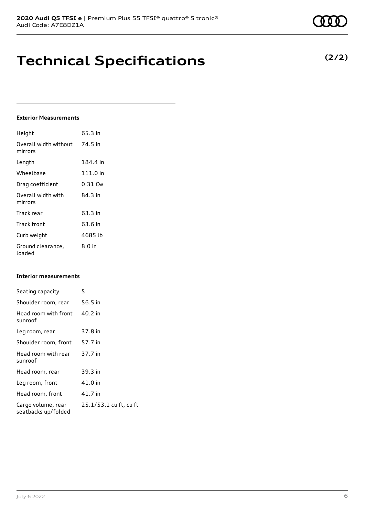**Technical Specifications**

### **Exterior Measurements**

| Height                           | 65.3 in   |
|----------------------------------|-----------|
| Overall width without<br>mirrors | 74.5 in   |
| Length                           | 184.4 in  |
| Wheelbase                        | 111.0 in  |
| Drag coefficient                 | $0.31$ Cw |
| Overall width with<br>mirrors    | 84.3 in   |
| Track rear                       | 63.3 in   |
| Track front                      | 63.6 in   |
| Curb weight                      | 4685 lb   |
| Ground clearance,<br>loaded      | $8.0$ in  |

#### **Interior measurements**

| Seating capacity                          | 5                      |
|-------------------------------------------|------------------------|
| Shoulder room, rear                       | 56.5 in                |
| Head room with front<br>sunroof           | 40.2 in                |
| Leg room, rear                            | 37.8 in                |
| Shoulder room, front                      | 57.7 in                |
| Head room with rear<br>sunroof            | 37.7 in                |
| Head room, rear                           | 39.3 in                |
| Leg room, front                           | 41.0 in                |
| Head room, front                          | 41.7 in                |
| Cargo volume, rear<br>seatbacks up/folded | 25.1/53.1 cu ft, cu ft |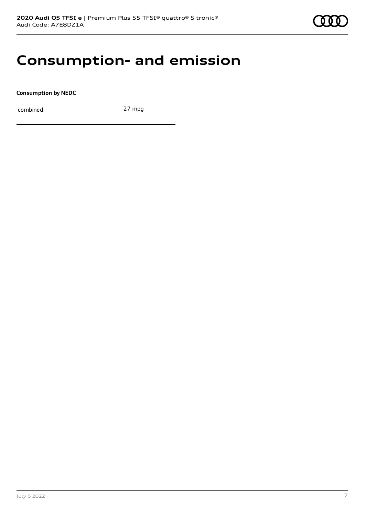### **Consumption- and emission**

**Consumption by NEDC**

combined 27 mpg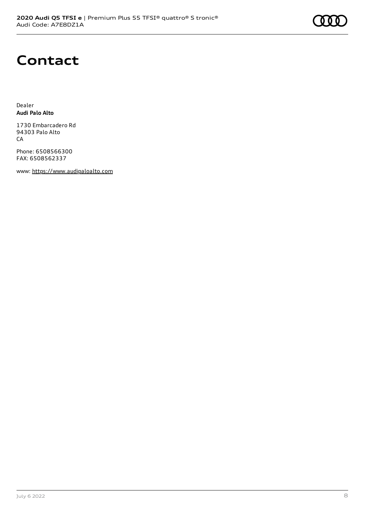## **Contact**

Dealer **Audi Palo Alto**

1730 Embarcadero Rd 94303 Palo Alto CA

Phone: 6508566300 FAX: 6508562337

www: [https://www.audipaloalto.com](https://www.audipaloalto.com/)